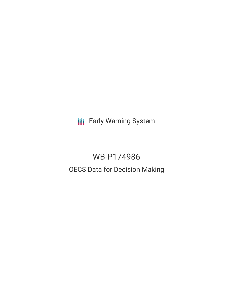**III** Early Warning System

# WB-P174986 OECS Data for Decision Making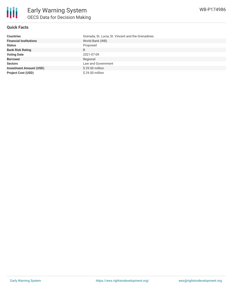

### **Quick Facts**

| <b>Countries</b>               | Grenada, St. Lucia, St. Vincent and the Grenadines |
|--------------------------------|----------------------------------------------------|
| <b>Financial Institutions</b>  | World Bank (WB)                                    |
| <b>Status</b>                  | Proposed                                           |
| <b>Bank Risk Rating</b>        | B                                                  |
| <b>Voting Date</b>             | 2021-07-09                                         |
| <b>Borrower</b>                | Regional                                           |
| <b>Sectors</b>                 | Law and Government                                 |
| <b>Investment Amount (USD)</b> | \$29.00 million                                    |
| <b>Project Cost (USD)</b>      | \$29.00 million                                    |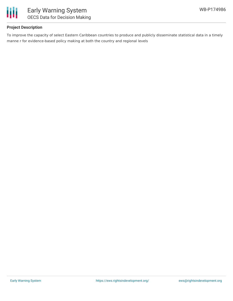

## **Project Description**

To improve the capacity of select Eastern Caribbean countries to produce and publicly disseminate statistical data in a timely manne r for evidence-based policy making at both the country and regional levels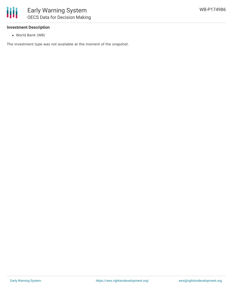

#### **Investment Description**

World Bank (WB)

The investment type was not available at the moment of the snapshot.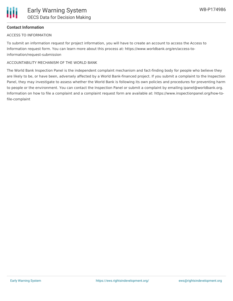### **Contact Information**

#### ACCESS TO INFORMATION

To submit an information request for project information, you will have to create an account to access the Access to Information request form. You can learn more about this process at: https://www.worldbank.org/en/access-toinformation/request-submission

#### ACCOUNTABILITY MECHANISM OF THE WORLD BANK

The World Bank Inspection Panel is the independent complaint mechanism and fact-finding body for people who believe they are likely to be, or have been, adversely affected by a World Bank-financed project. If you submit a complaint to the Inspection Panel, they may investigate to assess whether the World Bank is following its own policies and procedures for preventing harm to people or the environment. You can contact the Inspection Panel or submit a complaint by emailing ipanel@worldbank.org. Information on how to file a complaint and a complaint request form are available at: https://www.inspectionpanel.org/how-tofile-complaint